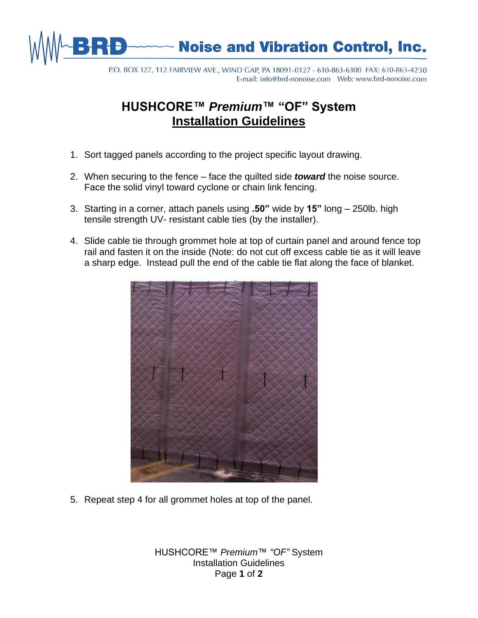

P.O. BOX 127, 112 FAIRVIEW AVE., WIND GAP, PA 18091-0127 - 610-863-6300 FAX: 610-863-4230 

## **HUSHCORE™** *Premium***™ "OF" System Installation Guidelines**

- 1. Sort tagged panels according to the project specific layout drawing.
- 2. When securing to the fence face the quilted side *toward* the noise source. Face the solid vinyl toward cyclone or chain link fencing.
- 3. Starting in a corner, attach panels using **.50"** wide by **15"** long 250lb. high tensile strength UV- resistant cable ties (by the installer).
- 4. Slide cable tie through grommet hole at top of curtain panel and around fence top rail and fasten it on the inside (Note: do not cut off excess cable tie as it will leave a sharp edge. Instead pull the end of the cable tie flat along the face of blanket.



5. Repeat step 4 for all grommet holes at top of the panel.

HUSHCORE™ *Premium*™ *"OF"* System Installation Guidelines Page **1** of **2**